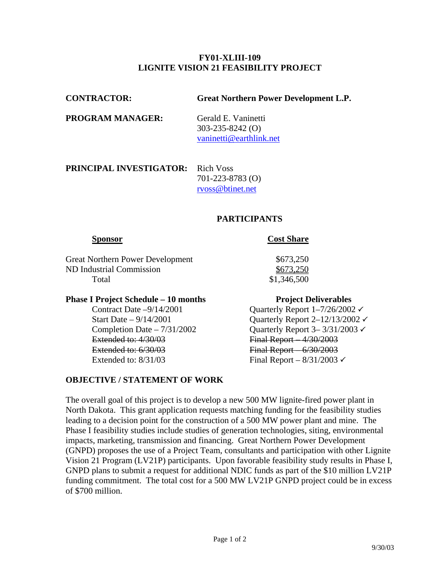### **FY01-XLIII-109 LIGNITE VISION 21 FEASIBILITY PROJECT**

| <b>CONTRACTOR:</b>                       | <b>Great Northern Power Development L.P.</b>                             |
|------------------------------------------|--------------------------------------------------------------------------|
| <b>PROGRAM MANAGER:</b>                  | Gerald E. Vaninetti<br>$303 - 235 - 8242$ (O)<br>vaninetti@earthlink.net |
| <b>PRINCIPAL INVESTIGATOR:</b> Rich Voss |                                                                          |

 701-223-8783 (O) [rvoss@btinet.net](mailto:rvoss@btinet.net)

## **PARTICIPANTS**

## **Sponsor** Cost Share

Great Northern Power Development  $$673,250$ ND Industrial Commission  $$673,250$ Total \$1,346,500

# **Phase I Project Schedule – 10 months Project Deliverables**

Extended to: 4/30/03 Final Report – 4/30/2003 Extended to: 6/30/03 Final Report 6/30/2003 Extended to:  $8/31/03$  Final Report –  $8/31/2003 \checkmark$ 

## **OBJECTIVE / STATEMENT OF WORK**

Contract Date  $-9/14/2001$  Quarterly Report  $1-7/26/2002 \checkmark$ Start Date –  $9/14/2001$  Quarterly Report 2–12/13/2002  $\checkmark$ Completion Date –  $7/31/2002$  Quarterly Report 3–  $3/31/2003 \checkmark$ 

The overall goal of this project is to develop a new 500 MW lignite-fired power plant in North Dakota. This grant application requests matching funding for the feasibility studies leading to a decision point for the construction of a 500 MW power plant and mine. The Phase I feasibility studies include studies of generation technologies, siting, environmental impacts, marketing, transmission and financing. Great Northern Power Development (GNPD) proposes the use of a Project Team, consultants and participation with other Lignite Vision 21 Program (LV21P) participants. Upon favorable feasibility study results in Phase I, GNPD plans to submit a request for additional NDIC funds as part of the \$10 million LV21P funding commitment. The total cost for a 500 MW LV21P GNPD project could be in excess of \$700 million.